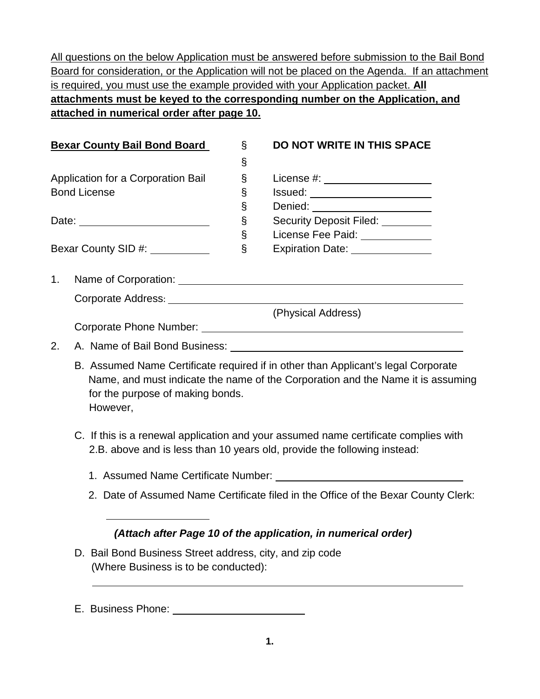All questions on the below Application must be answered before submission to the Bail Bond Board for consideration, or the Application will not be placed on the Agenda. If an attachment is required, you must use the example provided with your Application packet. **All attachments must be keyed to the corresponding number on the Application, and attached in numerical order after page 10.**

|                                        | <b>Bexar County Bail Bond Board</b>          | S    | <b>DO NOT WRITE IN THIS SPACE</b>                                                                                                                                    |
|----------------------------------------|----------------------------------------------|------|----------------------------------------------------------------------------------------------------------------------------------------------------------------------|
|                                        |                                              | $\S$ |                                                                                                                                                                      |
|                                        | Application for a Corporation Bail           | S    | License #: _____________________                                                                                                                                     |
|                                        | <b>Bond License</b>                          | $\S$ |                                                                                                                                                                      |
|                                        |                                              | $\S$ | Denied: _______________________                                                                                                                                      |
|                                        | Date: __________________________             | $\S$ | Security Deposit Filed: _________                                                                                                                                    |
|                                        |                                              | $\S$ | License Fee Paid: _____________                                                                                                                                      |
| Bexar County SID #: Next County SID #: |                                              | $\S$ | Expiration Date: _______________                                                                                                                                     |
| 1 <sub>1</sub>                         |                                              |      | Name of Corporation: Name of Corporation:                                                                                                                            |
|                                        |                                              |      |                                                                                                                                                                      |
|                                        |                                              |      | (Physical Address)                                                                                                                                                   |
|                                        |                                              |      |                                                                                                                                                                      |
| 2.                                     |                                              |      |                                                                                                                                                                      |
|                                        | for the purpose of making bonds.<br>However, |      | B. Assumed Name Certificate required if in other than Applicant's legal Corporate<br>Name, and must indicate the name of the Corporation and the Name it is assuming |

- C. If this is a renewal application and your assumed name certificate complies with 2.B. above and is less than 10 years old, provide the following instead:
	- 1. Assumed Name Certificate Number:
	- 2. Date of Assumed Name Certificate filed in the Office of the Bexar County Clerk:

# *(Attach after Page 10 of the application, in numerical order)*

D. Bail Bond Business Street address, city, and zip code (Where Business is to be conducted):

# E. Business Phone: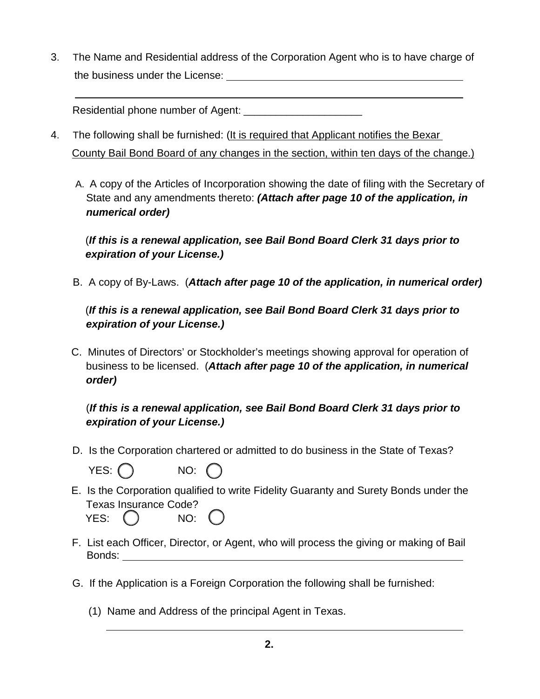3. The Name and Residential address of the Corporation Agent who is to have charge of the business under the License:

Residential phone number of Agent: \_\_\_\_\_\_\_\_\_\_\_\_\_\_\_\_\_\_\_\_\_\_

- 4. The following shall be furnished: (It is required that Applicant notifies the Bexar County Bail Bond Board of any changes in the section, within ten days of the change.)
	- A. A copy of the Articles of Incorporation showing the date of filing with the Secretary of State and any amendments thereto: *(Attach after page 10 of the application, in numerical order)*

(*If this is a renewal application, see Bail Bond Board Clerk 31 days prior to expiration of your License.)*

B. A copy of By-Laws. (*Attach after page 10 of the application, in numerical order)*

(*If this is a renewal application, see Bail Bond Board Clerk 31 days prior to expiration of your License.)*

 C. Minutes of Directors' or Stockholder's meetings showing approval for operation of business to be licensed. (*Attach after page 10 of the application, in numerical order)*

 (*If this is a renewal application, see Bail Bond Board Clerk 31 days prior to expiration of your License.)*

D. Is the Corporation chartered or admitted to do business in the State of Texas?

 $YES: ()$  NO:

- E. Is the Corporation qualified to write Fidelity Guaranty and Surety Bonds under the Texas Insurance Code? YES: () NO:
- F. List each Officer, Director, or Agent, who will process the giving or making of Bail Bonds:
- G. If the Application is a Foreign Corporation the following shall be furnished:
	- (1) Name and Address of the principal Agent in Texas.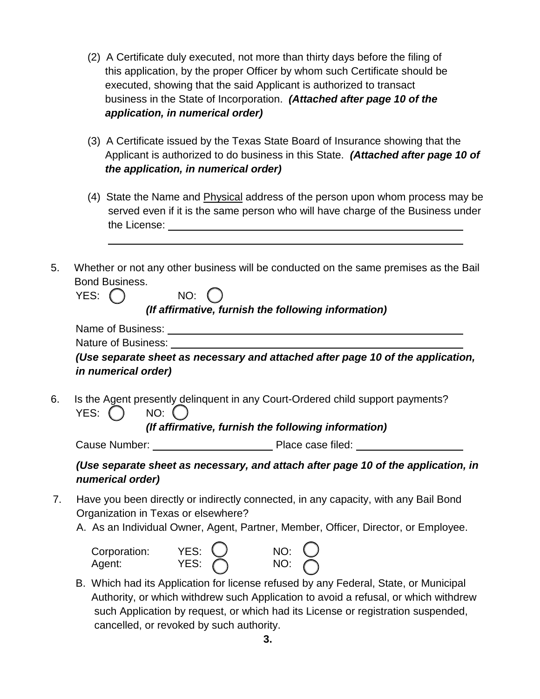- (2) A Certificate duly executed, not more than thirty days before the filing of this application, by the proper Officer by whom such Certificate should be executed, showing that the said Applicant is authorized to transact business in the State of Incorporation. *(Attached after page 10 of the application, in numerical order)*
- (3) A Certificate issued by the Texas State Board of Insurance showing that the Applicant is authorized to do business in this State. *(Attached after page 10 of the application, in numerical order)*
- (4) State the Name and Physical address of the person upon whom process may be served even if it is the same person who will have charge of the Business under the License:
- 5. Whether or not any other business will be conducted on the same premises as the Bail Bond Business.

| YES: |  | NO: |  |
|------|--|-----|--|
|      |  |     |  |

*(If affirmative, furnish the following information)*

| Name of Business:          |                                                                                 |
|----------------------------|---------------------------------------------------------------------------------|
| Nature of Business:        |                                                                                 |
|                            | (Use separate sheet as necessary and attached after page 10 of the application, |
| <i>in numerical order)</i> |                                                                                 |

6. Is the Agent presently delinquent in any Court-Ordered child support payments? YES:  $\bigcap$  NO:  $\bigcap$ 

*(If affirmative, furnish the following information)*

Cause Number: Place case filed:

# *(Use separate sheet as necessary, and attach after page 10 of the application, in numerical order)*

- 7. Have you been directly or indirectly connected, in any capacity, with any Bail Bond Organization in Texas or elsewhere?
	- A. As an Individual Owner, Agent, Partner, Member, Officer, Director, or Employee.



 B. Which had its Application for license refused by any Federal, State, or Municipal Authority, or which withdrew such Application to avoid a refusal, or which withdrew such Application by request, or which had its License or registration suspended, cancelled, or revoked by such authority.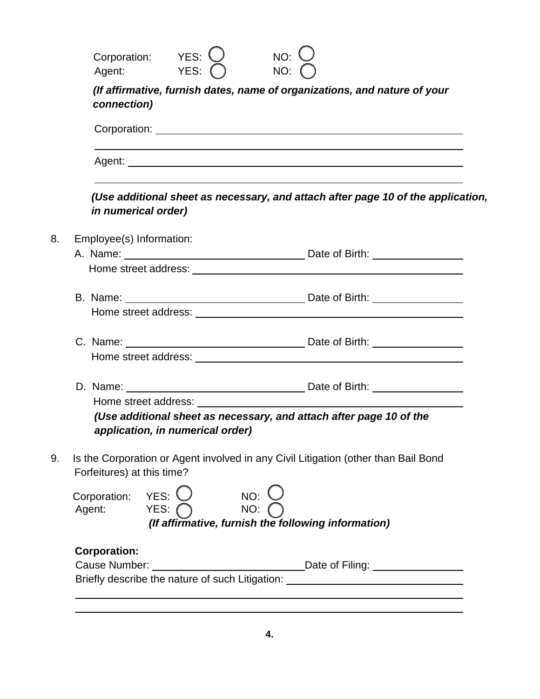| connection)                |                                                        |                            |                                                                                    |
|----------------------------|--------------------------------------------------------|----------------------------|------------------------------------------------------------------------------------|
|                            |                                                        |                            |                                                                                    |
|                            |                                                        |                            |                                                                                    |
|                            | <i>in numerical order)</i>                             |                            | (Use additional sheet as necessary, and attach after page 10 of the application,   |
| Employee(s) Information:   |                                                        |                            |                                                                                    |
|                            |                                                        |                            |                                                                                    |
|                            |                                                        |                            |                                                                                    |
|                            |                                                        |                            |                                                                                    |
|                            |                                                        |                            |                                                                                    |
|                            |                                                        |                            |                                                                                    |
|                            |                                                        |                            |                                                                                    |
|                            | application, in numerical order)                       |                            | (Use additional sheet as necessary, and attach after page 10 of the                |
| Forfeitures) at this time? |                                                        |                            | Is the Corporation or Agent involved in any Civil Litigation (other than Bail Bond |
|                            | Corporation: YES: $\bigcirc$<br>Agent: YES: $\bigcirc$ | $NO:$ $C$<br>NO: $\bigcap$ | (If affirmative, furnish the following information)                                |

**4.**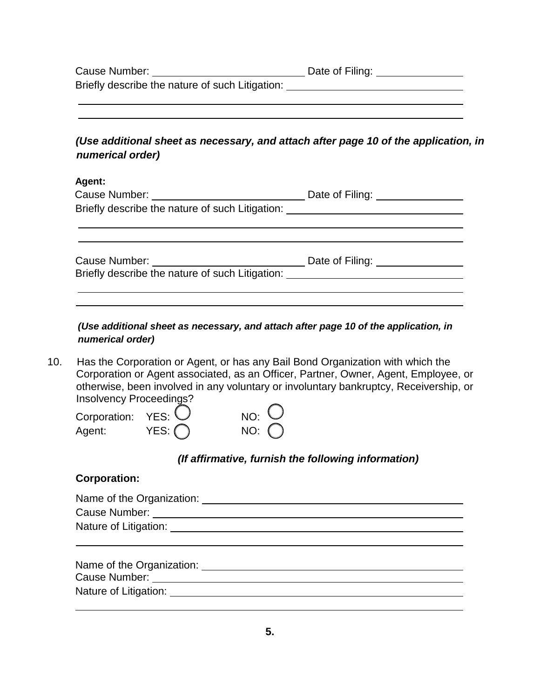| Cause Number:                                   | Date of Filing: |
|-------------------------------------------------|-----------------|
| Briefly describe the nature of such Litigation: |                 |

# *(Use additional sheet as necessary, and attach after page 10 of the application, in numerical order)*

#### **Agent:**

| Cause Number:                                   | Date of Filing: |
|-------------------------------------------------|-----------------|
| Briefly describe the nature of such Litigation: |                 |
|                                                 |                 |
|                                                 |                 |

 Cause Number: Date of Filing: Briefly describe the nature of such Litigation:

#### *(Use additional sheet as necessary, and attach after page 10 of the application, in numerical order)*

10. Has the Corporation or Agent, or has any Bail Bond Organization with which the Corporation or Agent associated, as an Officer, Partner, Owner, Agent, Employee, or otherwise, been involved in any voluntary or involuntary bankruptcy, Receivership, or Insolvency Proceedings?

| Corporation: $YES:$ |                | $NO:$ $O$      |
|---------------------|----------------|----------------|
| Agent:              | YES: $\bigcap$ | NO: $\bigcirc$ |

# *(If affirmative, furnish the following information)*

# **Corporation:**

| Name of the Organization: Name of the Organization: |                                             |  |
|-----------------------------------------------------|---------------------------------------------|--|
| Cause Number:                                       |                                             |  |
|                                                     | Nature of Litigation: Nature of Litigation: |  |
|                                                     |                                             |  |
|                                                     |                                             |  |
| Name of the Organization:                           |                                             |  |
| Cause Number:                                       |                                             |  |

Nature of Litigation: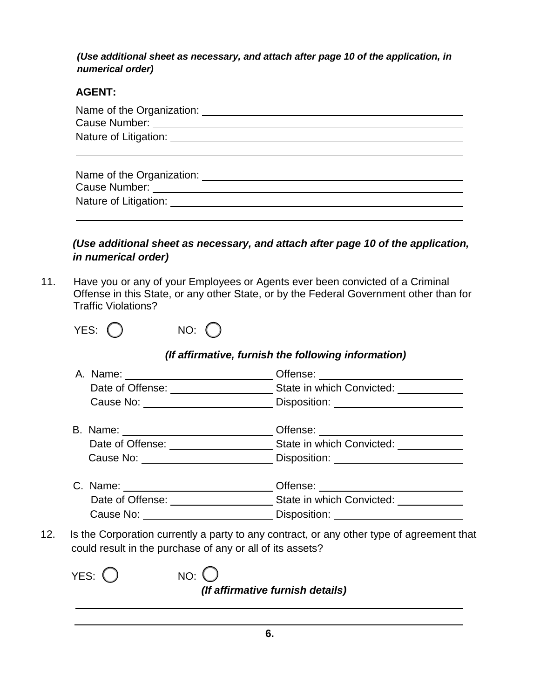*(Use additional sheet as necessary, and attach after page 10 of the application, in numerical order)*

### **AGENT:**

| Name of the Organization:<br>Nature of Litigation: Nature of Litigation:      |
|-------------------------------------------------------------------------------|
| Name of the Organization:<br>Cause Number: _________<br>Nature of Litigation: |

# *(Use additional sheet as necessary, and attach after page 10 of the application, in numerical order)*

11. Have you or any of your Employees or Agents ever been convicted of a Criminal Offense in this State, or any other State, or by the Federal Government other than for Traffic Violations?

| YES: | NO: | $\left(\begin{array}{c} \end{array}\right)$ |
|------|-----|---------------------------------------------|
|      |     |                                             |

# *(If affirmative, furnish the following information)*

|     |                                                           | Cause No: <u>New York Cause Note</u> 2014 and Disposition: New York 2014 and 2014 and 2014 and 2014 and 2014 and 2014 and 2014 and 2014 and 2014 and 2014 and 2014 and 2014 and 2014 and 2014 and 2014 and 2014 and 2014 and 2014 a |
|-----|-----------------------------------------------------------|-------------------------------------------------------------------------------------------------------------------------------------------------------------------------------------------------------------------------------------|
|     |                                                           |                                                                                                                                                                                                                                     |
|     |                                                           |                                                                                                                                                                                                                                     |
|     |                                                           | Cause No: ____________________________Disposition: _____________________________                                                                                                                                                    |
|     |                                                           | C. Name: ______________________________Offense: ________________________________                                                                                                                                                    |
|     |                                                           |                                                                                                                                                                                                                                     |
|     |                                                           |                                                                                                                                                                                                                                     |
| 12. | could result in the purchase of any or all of its assets? | Is the Corporation currently a party to any contract, or any other type of agreement that                                                                                                                                           |

| YES: $\bigcirc$ | $NO:$ $()$<br>(If affirmative furnish details) |
|-----------------|------------------------------------------------|
|                 |                                                |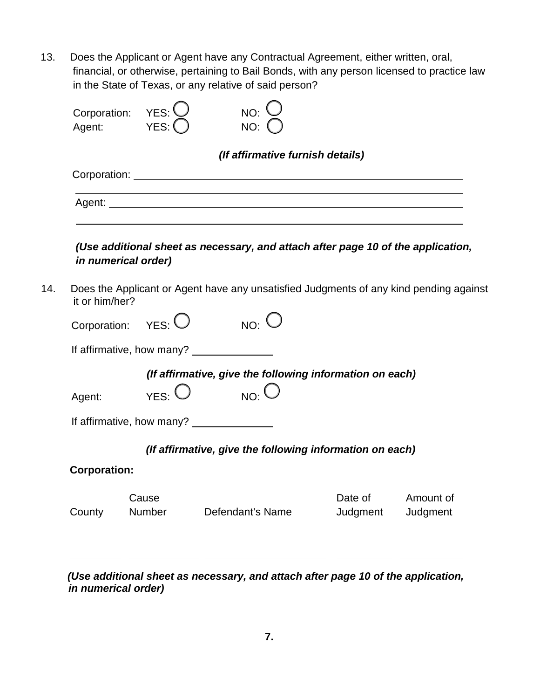13. Does the Applicant or Agent have any Contractual Agreement, either written, oral, financial, or otherwise, pertaining to Bail Bonds, with any person licensed to practice law in the State of Texas, or any relative of said person?

 $\bigcap$ 

 $\overline{\phantom{0}}$ 

 $\overline{\phantom{a}}$ 

|                     |                       |           | (If affirmative furnish details)                                                       |           |
|---------------------|-----------------------|-----------|----------------------------------------------------------------------------------------|-----------|
|                     |                       |           |                                                                                        |           |
|                     |                       |           |                                                                                        |           |
|                     |                       |           |                                                                                        |           |
|                     |                       |           |                                                                                        |           |
|                     |                       |           | (Use additional sheet as necessary, and attach after page 10 of the application,       |           |
|                     | in numerical order)   |           |                                                                                        |           |
|                     |                       |           | Does the Applicant or Agent have any unsatisfied Judgments of any kind pending against |           |
| it or him/her?      |                       |           |                                                                                        |           |
|                     |                       |           |                                                                                        |           |
|                     |                       |           |                                                                                        |           |
|                     | Corporation: $YES:$   | $NO:$ $C$ |                                                                                        |           |
|                     |                       |           |                                                                                        |           |
|                     |                       |           | (If affirmative, give the following information on each)                               |           |
| Agent:              | $_{YES}$ : $\bigcirc$ | $NO:$ $O$ |                                                                                        |           |
|                     |                       |           |                                                                                        |           |
|                     |                       |           |                                                                                        |           |
|                     |                       |           | (If affirmative, give the following information on each)                               |           |
|                     |                       |           |                                                                                        |           |
| <b>Corporation:</b> | Cause                 |           | Date of                                                                                | Amount of |

 *(Use additional sheet as necessary, and attach after page 10 of the application, in numerical order)*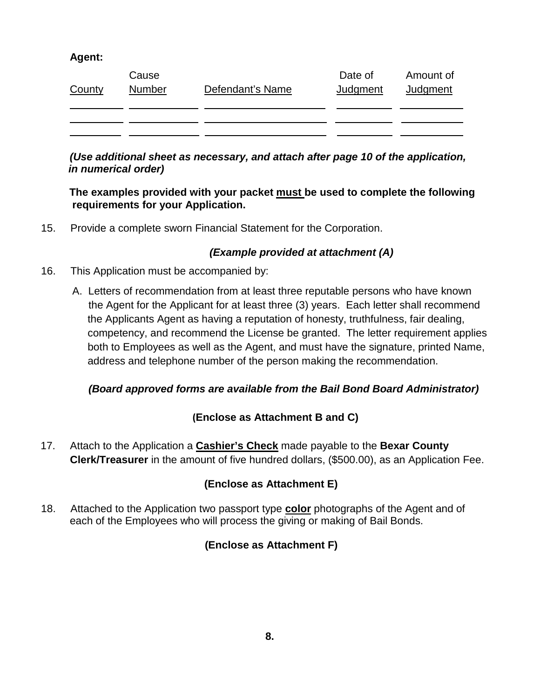# **Agent:**

| County | Cause<br><b>Number</b> | Defendant's Name | Date of<br><b>Judgment</b> | Amount of<br>Judgment |
|--------|------------------------|------------------|----------------------------|-----------------------|
|        |                        |                  |                            |                       |
|        |                        |                  |                            |                       |

### *(Use additional sheet as necessary, and attach after page 10 of the application, in numerical order)*

### **The examples provided with your packet must be used to complete the following requirements for your Application.**

15. Provide a complete sworn Financial Statement for the Corporation.

# *(Example provided at attachment (A)*

- 16. This Application must be accompanied by:
	- A. Letters of recommendation from at least three reputable persons who have known the Agent for the Applicant for at least three (3) years. Each letter shall recommend the Applicants Agent as having a reputation of honesty, truthfulness, fair dealing, competency, and recommend the License be granted. The letter requirement applies both to Employees as well as the Agent, and must have the signature, printed Name, address and telephone number of the person making the recommendation.

# *(Board approved forms are available from the Bail Bond Board Administrator)*

# **(Enclose as Attachment B and C)**

17. Attach to the Application a **Cashier's Check** made payable to the **Bexar County Clerk/Treasurer** in the amount of five hundred dollars, (\$500.00), as an Application Fee.

# **(Enclose as Attachment E)**

18. Attached to the Application two passport type **color** photographs of the Agent and of each of the Employees who will process the giving or making of Bail Bonds.

# **(Enclose as Attachment F)**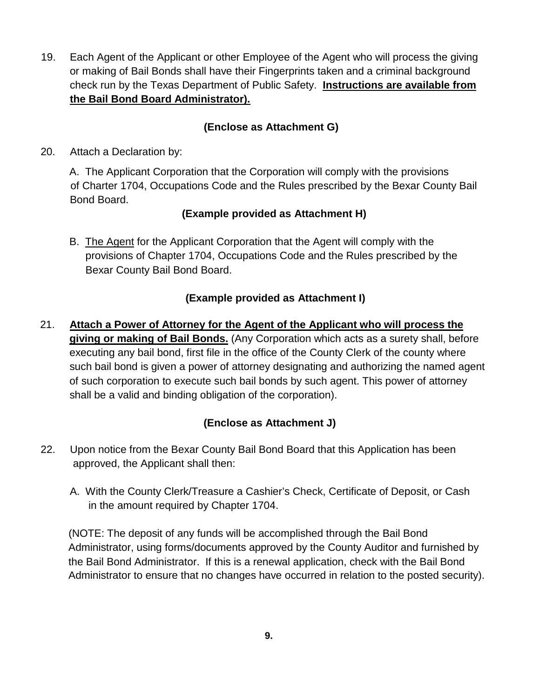19. Each Agent of the Applicant or other Employee of the Agent who will process the giving or making of Bail Bonds shall have their Fingerprints taken and a criminal background check run by the Texas Department of Public Safety. **Instructions are available from the Bail Bond Board Administrator).**

# **(Enclose as Attachment G)**

20. Attach a Declaration by:

A. The Applicant Corporation that the Corporation will comply with the provisions of Charter 1704, Occupations Code and the Rules prescribed by the Bexar County Bail Bond Board.

# **(Example provided as Attachment H)**

B. The Agent for the Applicant Corporation that the Agent will comply with the provisions of Chapter 1704, Occupations Code and the Rules prescribed by the Bexar County Bail Bond Board.

# **(Example provided as Attachment I)**

21. **Attach a Power of Attorney for the Agent of the Applicant who will process the giving or making of Bail Bonds.** (Any Corporation which acts as a surety shall, before executing any bail bond, first file in the office of the County Clerk of the county where such bail bond is given a power of attorney designating and authorizing the named agent of such corporation to execute such bail bonds by such agent. This power of attorney shall be a valid and binding obligation of the corporation).

# **(Enclose as Attachment J)**

- 22. Upon notice from the Bexar County Bail Bond Board that this Application has been approved, the Applicant shall then:
	- A. With the County Clerk/Treasure a Cashier's Check, Certificate of Deposit, or Cash in the amount required by Chapter 1704.

 (NOTE: The deposit of any funds will be accomplished through the Bail Bond Administrator, using forms/documents approved by the County Auditor and furnished by the Bail Bond Administrator. If this is a renewal application, check with the Bail Bond Administrator to ensure that no changes have occurred in relation to the posted security).